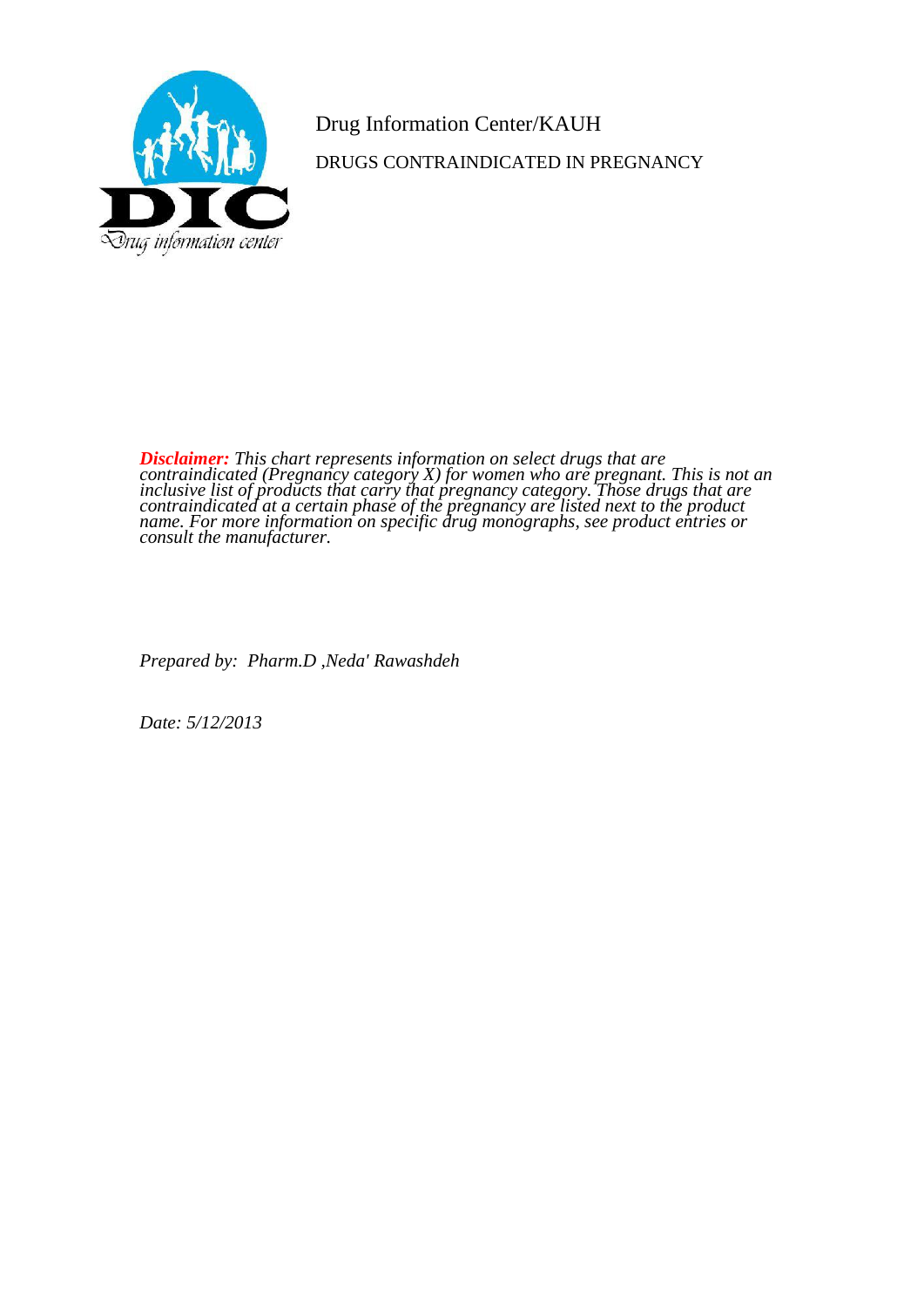

Drug Information Center/KAUH DRUGS CONTRAINDICATED IN PREGNANCY

*Disclaimer: This chart represents information on select drugs that are contraindicated (Pregnancy category X) for women who are pregnant. This is not an inclusive list of products that carry that pregnancy category. Those drugs that are contraindicated at a certain phase of the pregnancy are listed next to the product name. For more information on specific drug monographs, see product entries or consult the manufacturer.*

*Prepared by: Pharm.D ,Neda' Rawashdeh*

*Date: 5/12/2013*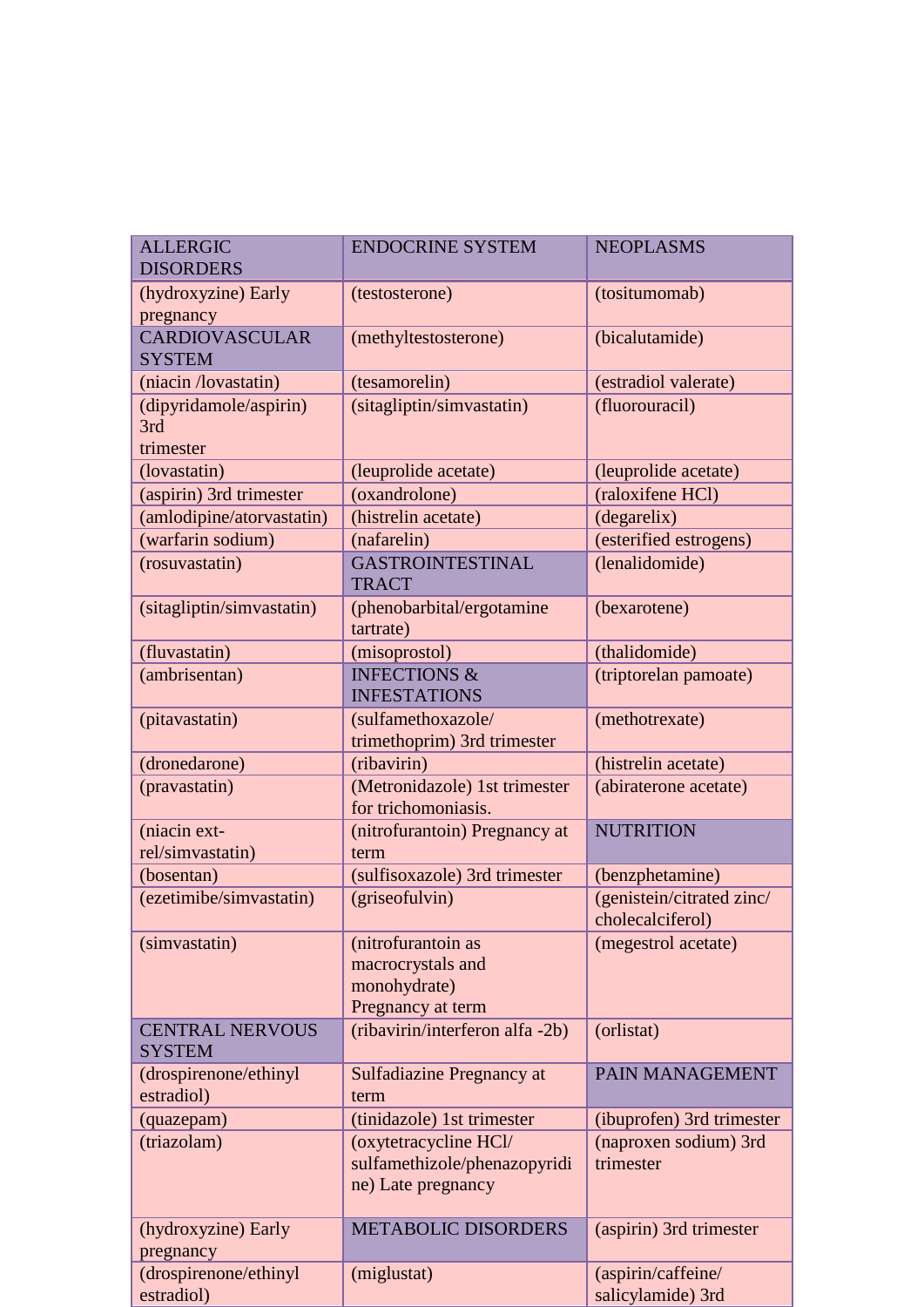| <b>ALLERGIC</b><br><b>DISORDERS</b>        | <b>ENDOCRINE SYSTEM</b>                                                      | <b>NEOPLASMS</b>                              |
|--------------------------------------------|------------------------------------------------------------------------------|-----------------------------------------------|
| (hydroxyzine) Early<br>pregnancy           | (testosterone)                                                               | (tositumomab)                                 |
| <b>CARDIOVASCULAR</b><br><b>SYSTEM</b>     | (methyltestosterone)                                                         | (bicalutamide)                                |
| (niacin /lovastatin)                       | (tesamorelin)                                                                | (estradiol valerate)                          |
| (dipyridamole/aspirin)<br>3rd<br>trimester | (sitagliptin/simvastatin)                                                    | (fluorouracil)                                |
| (lovastatin)                               | (leuprolide acetate)                                                         | (leuprolide acetate)                          |
| (aspirin) 3rd trimester                    | (oxandrolone)                                                                | (raloxifene HCl)                              |
| (amlodipine/atorvastatin)                  | (histrelin acetate)                                                          | (degarelix)                                   |
| (warfarin sodium)                          | (nafarelin)                                                                  | (esterified estrogens)                        |
| (rosuvastatin)                             | <b>GASTROINTESTINAL</b><br><b>TRACT</b>                                      | (lenalidomide)                                |
| (sitagliptin/simvastatin)                  | (phenobarbital/ergotamine<br>tartrate)                                       | (bexarotene)                                  |
| (fluvastatin)                              | (misoprostol)                                                                | (thalidomide)                                 |
| (ambrisentan)                              | <b>INFECTIONS &amp;</b><br><b>INFESTATIONS</b>                               | (triptorelan pamoate)                         |
| (pitavastatin)                             | (sulfamethoxazole/<br>trimethoprim) 3rd trimester                            | (methotrexate)                                |
| (dronedarone)                              | (ribavirin)                                                                  | (histrelin acetate)                           |
| (pravastatin)                              | (Metronidazole) 1st trimester<br>for trichomoniasis.                         | (abiraterone acetate)                         |
| (niacin ext-<br>rel/simvastatin)           | (nitrofurantoin) Pregnancy at<br>term                                        | <b>NUTRITION</b>                              |
| (bosentan)                                 | (sulfisoxazole) 3rd trimester                                                | (benzphetamine)                               |
| (ezetimibe/simvastatin)                    | (griseofulvin)                                                               | (genistein/citrated zinc/<br>cholecalciferol) |
| (simvastatin)                              | (nitrofurantoin as<br>macrocrystals and<br>monohydrate)<br>Pregnancy at term | (megestrol acetate)                           |
| <b>CENTRAL NERVOUS</b><br><b>SYSTEM</b>    | (ribavirin/interferon alfa-2b)                                               | (orlistat)                                    |
| (drospirenone/ethinyl                      | <b>Sulfadiazine Pregnancy at</b>                                             | PAIN MANAGEMENT                               |
| estradiol)                                 | term                                                                         |                                               |
| (quazepam)                                 | (tinidazole) 1st trimester                                                   | (ibuprofen) 3rd trimester                     |
| (triazolam)                                | (oxytetracycline HCl/<br>sulfamethizole/phenazopyridi<br>ne) Late pregnancy  | (naproxen sodium) 3rd<br>trimester            |
| (hydroxyzine) Early<br>pregnancy           | <b>METABOLIC DISORDERS</b>                                                   | (aspirin) 3rd trimester                       |
| (drospirenone/ethinyl<br>estradiol)        | (miglustat)                                                                  | (aspirin/caffeine/<br>salicylamide) 3rd       |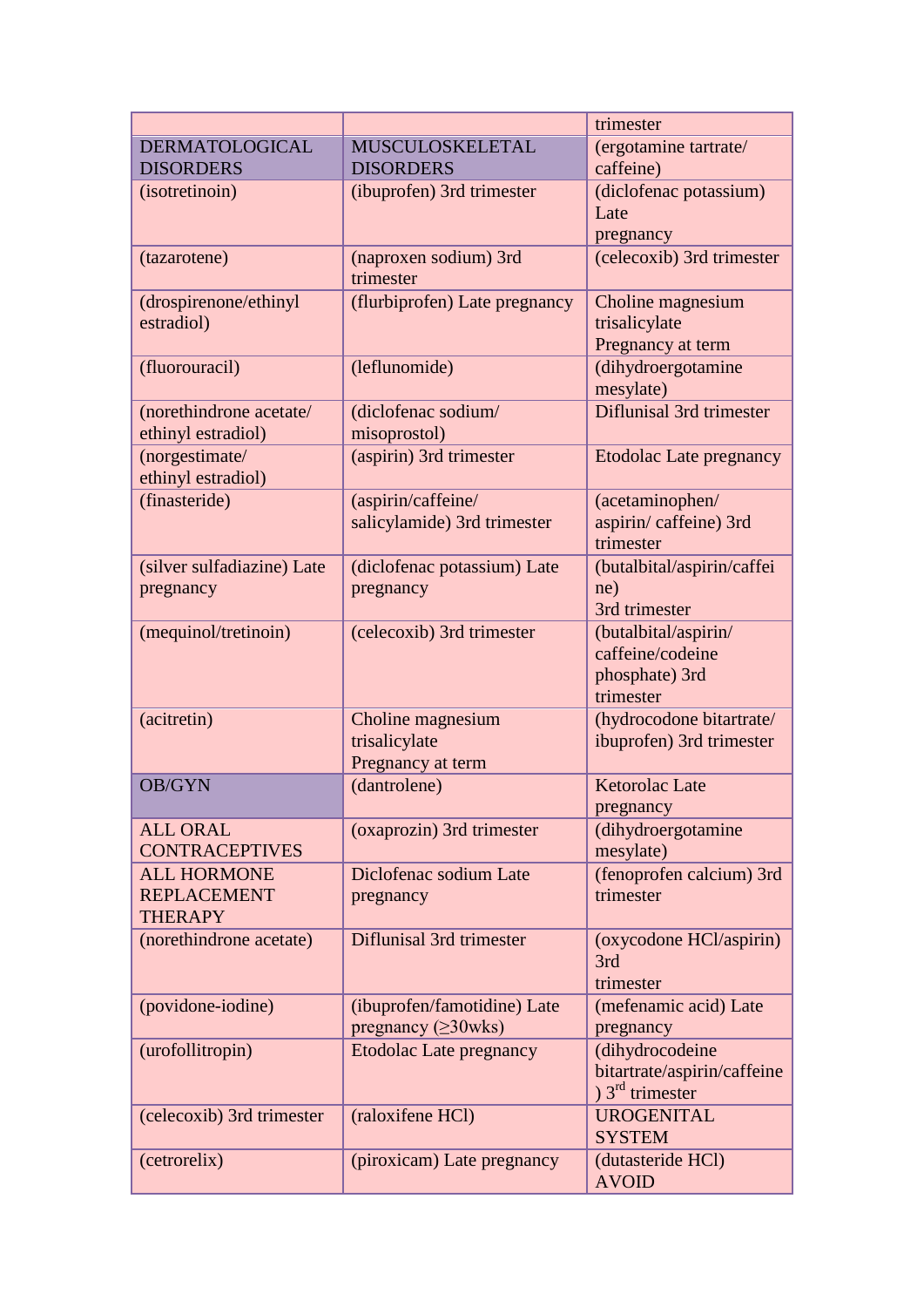|                            |                                    | trimester                       |
|----------------------------|------------------------------------|---------------------------------|
| <b>DERMATOLOGICAL</b>      | MUSCULOSKELETAL                    | (ergotamine tartrate/           |
| <b>DISORDERS</b>           | <b>DISORDERS</b>                   | caffeine)                       |
| (isotretinoin)             | (ibuprofen) 3rd trimester          | (diclofenac potassium)          |
|                            |                                    | Late                            |
|                            |                                    | pregnancy                       |
| (tazarotene)               | (naproxen sodium) 3rd<br>trimester | (celecoxib) 3rd trimester       |
| (drospirenone/ethinyl      | (flurbiprofen) Late pregnancy      | Choline magnesium               |
| estradiol)                 |                                    | trisalicylate                   |
|                            |                                    | Pregnancy at term               |
| (fluorouracil)             | (leflunomide)                      | (dihydroergotamine              |
|                            |                                    | mesylate)                       |
| (norethindrone acetate/    | (diclofenac sodium/                | <b>Diflunisal 3rd trimester</b> |
| ethinyl estradiol)         | misoprostol)                       |                                 |
| (norgestimate/             | (aspirin) 3rd trimester            | <b>Etodolac Late pregnancy</b>  |
| ethinyl estradiol)         |                                    |                                 |
| (finasteride)              | (aspirin/caffeine/                 | (acetaminophen/                 |
|                            | salicylamide) 3rd trimester        | aspirin/caffeine) 3rd           |
|                            |                                    | trimester                       |
| (silver sulfadiazine) Late | (diclofenac potassium) Late        | (butalbital/aspirin/caffei      |
| pregnancy                  | pregnancy                          | ne)                             |
|                            |                                    | 3rd trimester                   |
| (mequinol/tretinoin)       | (celecoxib) 3rd trimester          | (butalbital/aspirin/            |
|                            |                                    | caffeine/codeine                |
|                            |                                    | phosphate) 3rd                  |
|                            |                                    | trimester                       |
| (acitretin)                | Choline magnesium                  | (hydrocodone bitartrate/        |
|                            | trisalicylate                      | ibuprofen) 3rd trimester        |
|                            | Pregnancy at term                  |                                 |
| <b>OB/GYN</b>              | (dantrolene)                       | <b>Ketorolac Late</b>           |
|                            |                                    | pregnancy                       |
| <b>ALL ORAL</b>            | (oxaprozin) 3rd trimester          | (dihydroergotamine              |
| <b>CONTRACEPTIVES</b>      |                                    | mesylate)                       |
| <b>ALL HORMONE</b>         | Diclofenac sodium Late             | (fenoprofen calcium) 3rd        |
| <b>REPLACEMENT</b>         | pregnancy                          | trimester                       |
| <b>THERAPY</b>             |                                    |                                 |
| (norethindrone acetate)    | Diflunisal 3rd trimester           | (oxycodone HCl/aspirin)         |
|                            |                                    | 3rd                             |
|                            |                                    | trimester                       |
| (povidone-iodine)          | (ibuprofen/famotidine) Late        | (mefenamic acid) Late           |
|                            | pregnancy $(\geq 30$ wks)          | pregnancy                       |
| (urofollitropin)           | <b>Etodolac Late pregnancy</b>     | (dihydrocodeine                 |
|                            |                                    | bitartrate/aspirin/caffeine     |
|                            |                                    | $3^{rd}$ trimester              |
| (celecoxib) 3rd trimester  | (raloxifene HCl)                   | <b>UROGENITAL</b>               |
|                            |                                    | <b>SYSTEM</b>                   |
| (cetrorelix)               | (piroxicam) Late pregnancy         | (dutasteride HCl)               |
|                            |                                    | <b>AVOID</b>                    |